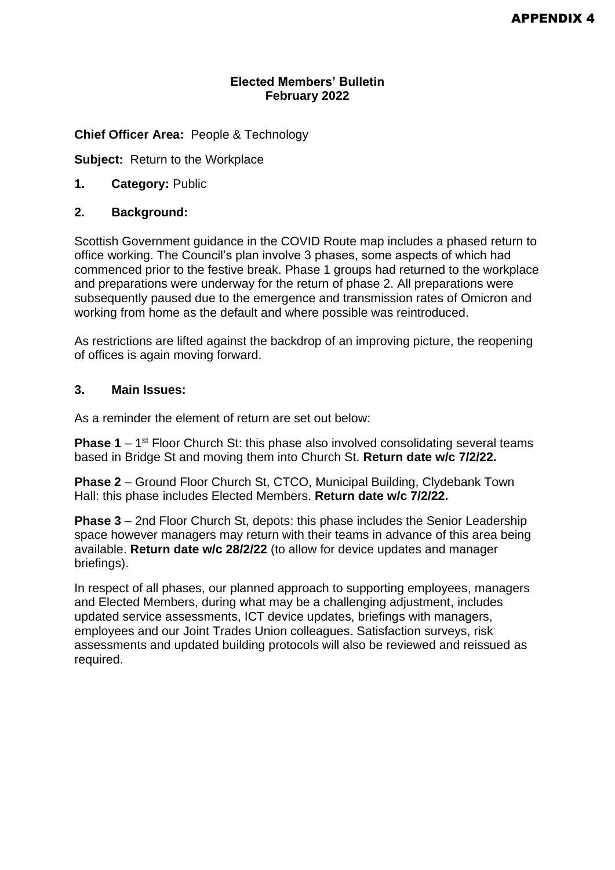### **Elected Members' Bulletin February 2022**

**Chief Officer Area:** People & Technology

**Subject:** Return to the Workplace

**1. Category:** Public

#### **2. Background:**

Scottish Government guidance in the COVID Route map includes a phased return to office working. The Council's plan involve 3 phases, some aspects of which had commenced prior to the festive break. Phase 1 groups had returned to the workplace and preparations were underway for the return of phase 2. All preparations were subsequently paused due to the emergence and transmission rates of Omicron and working from home as the default and where possible was reintroduced.

As restrictions are lifted against the backdrop of an improving picture, the reopening of offices is again moving forward.

#### **3. Main Issues:**

As a reminder the element of return are set out below:

**Phase 1** – 1<sup>st</sup> Floor Church St: this phase also involved consolidating several teams based in Bridge St and moving them into Church St. **Return date w/c 7/2/22.**

**Phase 2** – Ground Floor Church St, CTCO, Municipal Building, Clydebank Town Hall: this phase includes Elected Members. **Return date w/c 7/2/22.**

**Phase 3** – 2nd Floor Church St, depots: this phase includes the Senior Leadership space however managers may return with their teams in advance of this area being available. **Return date w/c 28/2/22** (to allow for device updates and manager briefings).

In respect of all phases, our planned approach to supporting employees, managers and Elected Members, during what may be a challenging adjustment, includes updated service assessments, ICT device updates, briefings with managers, employees and our Joint Trades Union colleagues. Satisfaction surveys, risk assessments and updated building protocols will also be reviewed and reissued as required.